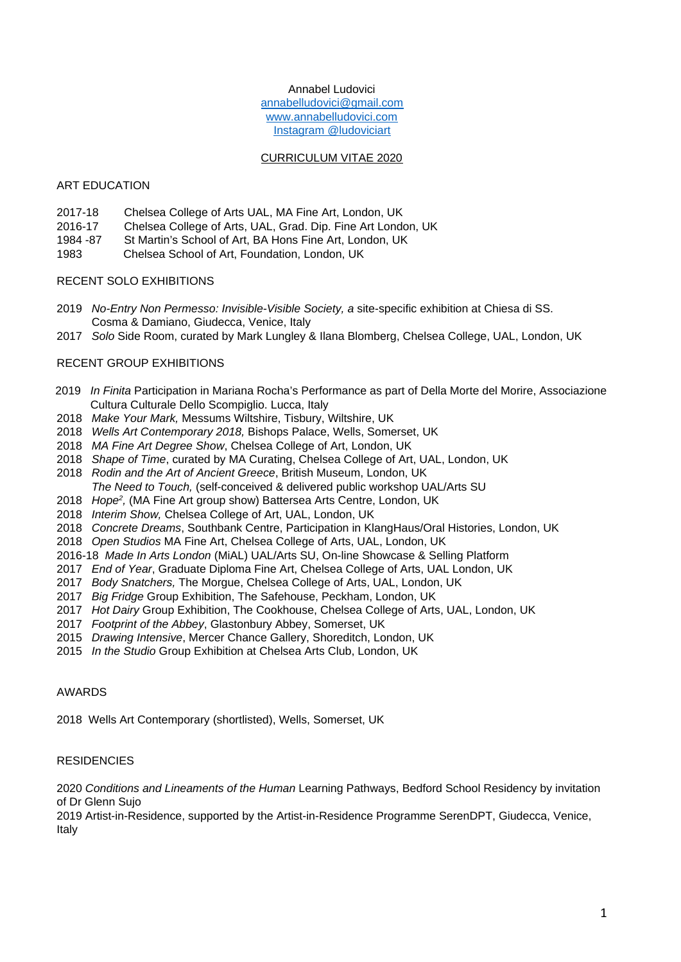# Annabel Ludovici [annabelludovici@gmail.com](mailto:annabelludovici@gmail.com) [www.annabelludovici.com](http://www.annabelludovici.com/) Instagram @ludoviciart

## CURRICULUM VITAE 2020

## ART EDUCATION

- 2017-18 Chelsea College of Arts UAL, MA Fine Art, London, UK
- 2016-17 Chelsea College of Arts, UAL, Grad. Dip. Fine Art London, UK
- 1984 -87 St Martin's School of Art, BA Hons Fine Art, London, UK
- 1983 Chelsea School of Art, Foundation, London, UK

# RECENT SOLO EXHIBITIONS

- 2019 *No-Entry Non Permesso: Invisible-Visible Society, a* site-specific exhibition at Chiesa di SS. Cosma & Damiano, Giudecca, Venice, Italy
- 2017 *Solo* Side Room, curated by Mark Lungley & Ilana Blomberg, Chelsea College, UAL, London, UK

# RECENT GROUP EXHIBITIONS

- 2019 *In Finita* Participation in Mariana Rocha's Performance as part of Della Morte del Morire, Associazione Cultura Culturale Dello Scompiglio. Lucca, Italy
- 2018 *Make Your Mark,* Messums Wiltshire, Tisbury, Wiltshire, UK
- 2018 *Wells Art Contemporary 2018,* Bishops Palace, Wells, Somerset, UK
- 2018 *MA Fine Art Degree Show*, Chelsea College of Art, London, UK
- 2018 *Shape of Time*, curated by MA Curating, Chelsea College of Art, UAL, London, UK
- 2018 *Rodin and the Art of Ancient Greece*, British Museum, London, UK
- *The Need to Touch,* (self-conceived & delivered public workshop UAL/Arts SU
- 2018 *Hope<sup>2</sup>*, (MA Fine Art group show) Battersea Arts Centre, London, UK
- 2018 *Interim Show,* Chelsea College of Art, UAL, London, UK
- 2018 *Concrete Dreams*, Southbank Centre, Participation in KlangHaus/Oral Histories, London, UK
- 2018 *Open Studios* MA Fine Art, Chelsea College of Arts, UAL, London, UK
- 2016-18 *Made In Arts London* (MiAL) UAL/Arts SU, On-line Showcase & Selling Platform
- 2017 *End of Year*, Graduate Diploma Fine Art, Chelsea College of Arts, UAL London, UK
- 2017 *Body Snatchers,* The Morgue, Chelsea College of Arts, UAL, London, UK
- 2017 *Big Fridge* Group Exhibition, The Safehouse, Peckham, London, UK
- 2017 *Hot Dairy* Group Exhibition, The Cookhouse, Chelsea College of Arts, UAL, London, UK
- 2017 *Footprint of the Abbey*, Glastonbury Abbey, Somerset, UK
- 2015 *Drawing Intensive*, Mercer Chance Gallery, Shoreditch, London, UK
- 2015 *In the Studio* Group Exhibition at Chelsea Arts Club, London, UK

### AWARDS

2018 Wells Art Contemporary (shortlisted), Wells, Somerset, UK

### **RESIDENCIES**

2020 *Conditions and Lineaments of the Human* Learning Pathways, Bedford School Residency by invitation of Dr Glenn Sujo

2019 Artist-in-Residence, supported by the Artist-in-Residence Programme SerenDPT, Giudecca, Venice, Italy